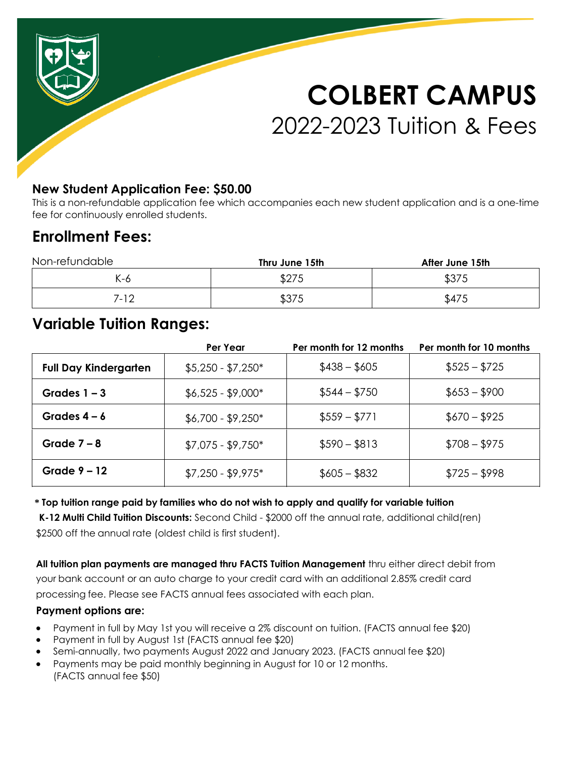# **COLBERT CAMPUS** 2022-2023 Tuition & Fees

### **New Student Application Fee: \$50.00**

This is a non-refundable application fee which accompanies each new student application and is a one-time fee for continuously enrolled students.

# **Enrollment Fees:**

| Non-refundable | Thru June 15th | After June 15th |  |
|----------------|----------------|-----------------|--|
| K-6            | \$275          | \$375           |  |
| 7-12           | \$375          | \$475           |  |

# **Variable Tuition Ranges:**

|                              | Per Year            | Per month for 12 months | Per month for 10 months |
|------------------------------|---------------------|-------------------------|-------------------------|
| <b>Full Day Kindergarten</b> | $$5,250 - $7,250^*$ | $$438 - $605$           | $$525 - $725$           |
| Grades $1 - 3$               | $$6,525 - $9,000*$  | $$544 - $750$           | $$653 - $900$           |
| Grades $4 - 6$               | $$6,700 - $9,250*$  | $$559 - $771$           | $$670 - $925$           |
| Grade $7 - 8$                | $$7,075 - $9,750*$  | $$590 - $813$           | $$708 - $975$           |
| Grade $9 - 12$               | $$7,250 - $9,975$ * | $$605 - $832$           | $$725 - $998$           |

#### **\* Top tuition range paid by families who do not wish to apply and qualify for variable tuition**

**K-12 Multi Child Tuition Discounts:** Second Child - \$2000 off the annual rate, additional child(ren) \$2500 off the annual rate (oldest child is first student).

**All tuition plan payments are managed thru FACTS Tuition Management** thru either direct debit from your bank account or an auto charge to your credit card with an additional 2.85% credit card processing fee. Please see FACTS annual fees associated with each plan.

#### **Payment options are:**

- Payment in full by May 1st you will receive a 2% discount on tuition. (FACTS annual fee \$20)
- Payment in full by August 1st (FACTS annual fee \$20)
- Semi-annually, two payments August 2022 and January 2023. (FACTS annual fee \$20)
- Payments may be paid monthly beginning in August for 10 or 12 months. (FACTS annual fee \$50)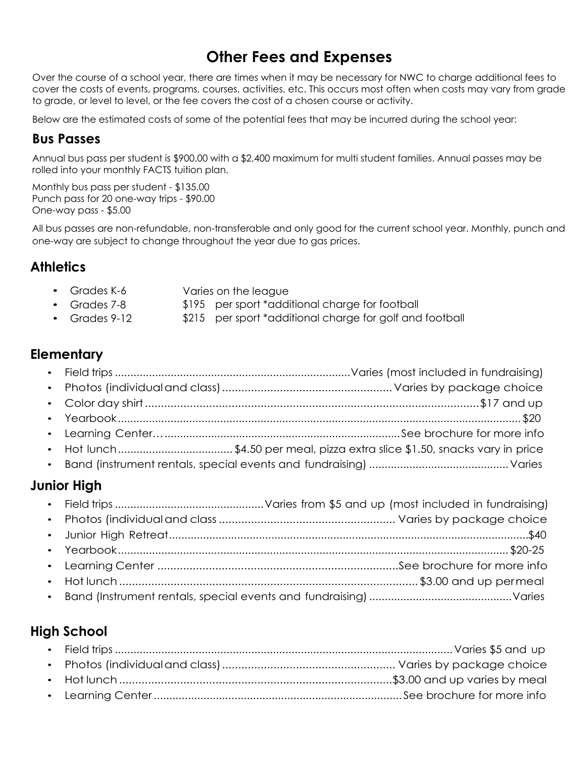# **Other Fees and Expenses**

Over the course of a school year, there are times when it may be necessary for NWC to charge additional fees to cover the costs of events, programs, courses, activities, etc. This occurs most often when costs may vary from grade to grade, or level to level, or the fee covers the cost of a chosen course or activity.

Below are the estimated costs of some of the potential fees that may be incurred during the school year:

#### **Bus Passes**

Annual bus pass per student is \$900.00 with a \$2,400 maximum for multi student families. Annual passes may be rolled into your monthly FACTS tuition plan.

Monthly bus pass per student - \$135.00 Punch pass for 20 one-way trips - \$90.00 One-way pass - \$5.00

All bus passes are non-refundable, non-transferable and only good for the current school year. Monthly, punch and one-way are subject to change throughout the year due to gas prices.

## **Athletics**

- Grades K-6 Varies on the league
	- \$195 per sport \*additional charge for football
- Grades 9-12 \$215 per sport \*additional charge for golf and football

## **Elementary**

• Grades 7-8

- Field trips ............................................................................ Varies (most included in fundraising) • Photos (individual and class) ..................................................... Varies by package choice • Color day shirt ........................................................................................................ \$17 and up • Yearbook .................................................................................................................................. \$20
- Learning Center…............................................................................See brochure for more info
- Hot lunch ..................................... \$4.50 per meal, pizza extra slice \$1.50, snacks vary in price
- Band (instrument rentals, special events and fundraising) ............................................. Varies

## **Junior High**

# **High School**